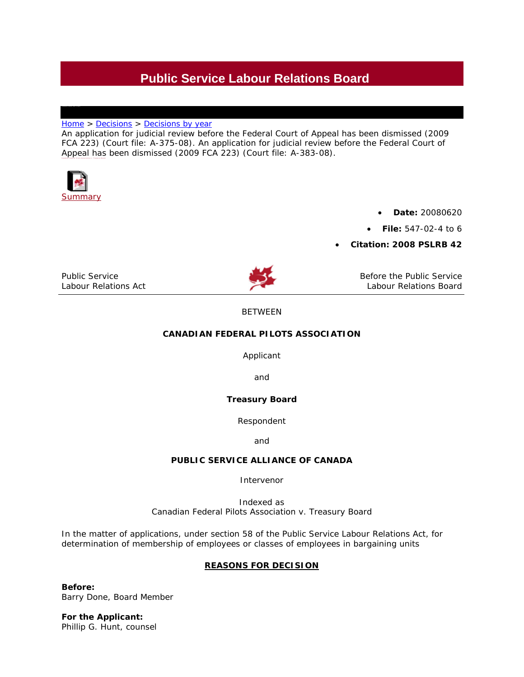# **Public Service Labour Relations Board**

## [Home](http://pslrb-crtfp.gc.ca/main_e.asp) > [Decisions](http://pslrb-crtfp.gc.ca/decisions/intro_e.asp) > Decisions by year

An application for judicial review before the Federal Court of Appeal has been dismissed (2009 FCA 223) (Court file: A-375-08). An application for judicial review before the Federal Court of Appeal has been dismissed (2009 FCA 223) (Court file: A-383-08). **Canad ian Federal Pi lots Association v. Treasury Board** 



• **Date:** 20080620

• **File:** 547-02-4 to 6

• **Citation: 2008 PSLRB 42** 

*Public Service Labour Relations Act* 



Before the Public Service Labour Relations Board

# BETWEEN

# **CANADIAN FEDERAL PILOTS ASSOCIATION**

Applicant

and

## **Treasury Board**

Respondent

and

## **PUBLIC SERVICE ALLIANCE OF CANADA**

Intervenor

Indexed as *Canadian Federal Pilots Association v. Treasury Board*

In the matter of applications, under section 58 of the *Public Service Labour Relations Act*, for determination of membership of employees or classes of employees in bargaining units

## **REASONS FOR DECISION**

**Before:**  Barry Done, Board Member

**For the Applicant:**  Phillip G. Hunt, counsel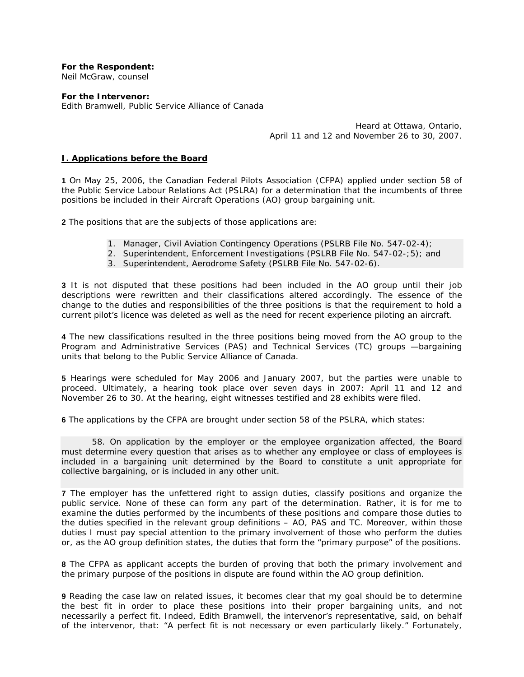**For the Respondent:**  Neil McGraw, counsel

**For the Intervenor:**  Edith Bramwell, Public Service Alliance of Canada

> Heard at Ottawa, Ontario, April 11 and 12 and November 26 to 30, 2007.

## **I. Applications before the Board**

**1** On May 25, 2006, the Canadian Federal Pilots Association (CFPA) applied under section 58 of the *Public Service Labour Relations Act* (*PSLRA*) for a determination that the incumbents of three positions be included in their Aircraft Operations (AO) group bargaining unit.

**2** The positions that are the subjects of those applications are:

- 1. Manager, Civil Aviation Contingency Operations (PSLRB File No. 547-02-4);
- 2. Superintendent, Enforcement Investigations (PSLRB File No. 547-02-;5); and
- 3. Superintendent, Aerodrome Safety (PSLRB File No. 547-02-6).

**3** It is not disputed that these positions had been included in the AO group until their job descriptions were rewritten and their classifications altered accordingly. The essence of the change to the duties and responsibilities of the three positions is that the requirement to hold a current pilot's licence was deleted as well as the need for recent experience piloting an aircraft.

**4** The new classifications resulted in the three positions being moved from the AO group to the Program and Administrative Services (PAS) and Technical Services (TC) groups —bargaining units that belong to the Public Service Alliance of Canada.

**5** Hearings were scheduled for May 2006 and January 2007, but the parties were unable to proceed. Ultimately, a hearing took place over seven days in 2007: April 11 and 12 and November 26 to 30. At the hearing, eight witnesses testified and 28 exhibits were filed.

**6** The applications by the CFPA are brought under section 58 of the *PSLRA*, which states:

58. On application by the employer or the employee organization affected, the Board *must determine every question that arises as to whether any employee or class of employees is included in a bargaining unit determined by the Board to constitute a unit appropriate for collective bargaining, or is included in any other unit.* 

**7** The employer has the unfettered right to assign duties, classify positions and organize the public service. None of these can form any part of the determination. Rather, it is for me to examine the duties performed by the incumbents of these positions and compare those duties to the duties specified in the relevant group definitions – AO, PAS and TC. Moreover, within those duties I must pay special attention to the primary involvement of those who perform the duties or, as the AO group definition states, the duties that form the "primary purpose" of the positions.

**8** The CFPA as applicant accepts the burden of proving that both the primary involvement and the primary purpose of the positions in dispute are found within the AO group definition.

**9** Reading the case law on related issues, it becomes clear that my goal should be to determine the best fit in order to place these positions into their proper bargaining units, and not necessarily a perfect fit. Indeed, Edith Bramwell, the intervenor's representative, said, on behalf of the intervenor, that: "A perfect fit is not necessary or even particularly likely." Fortunately,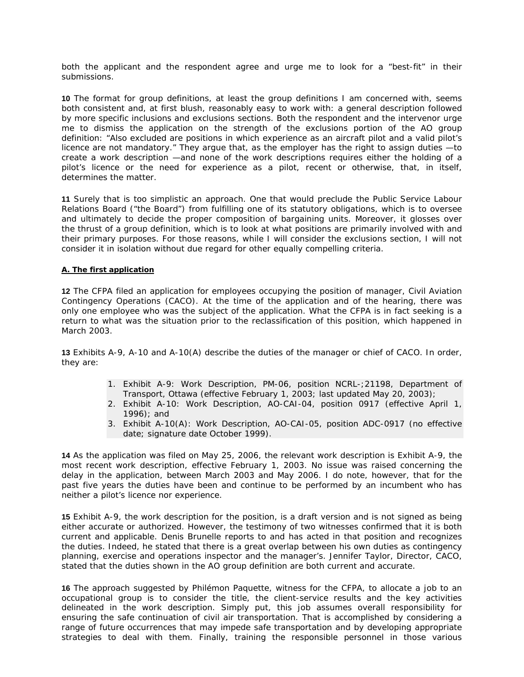both the applicant and the respondent agree and urge me to look for a "best-fit" in their submissions.

**10** The format for group definitions, at least the group definitions I am concerned with, seems both consistent and, at first blush, reasonably easy to work with: a general description followed by more specific inclusions and exclusions sections. Both the respondent and the intervenor urge me to dismiss the application on the strength of the exclusions portion of the AO group definition: "Also excluded are positions in which experience as an aircraft pilot and a valid pilot's licence are not mandatory." They argue that, as the employer has the right to assign duties —to create a work description —and none of the work descriptions requires either the holding of a pilot's licence or the need for experience as a pilot, recent or otherwise, that, in itself, determines the matter.

**11** Surely that is too simplistic an approach. One that would preclude the Public Service Labour Relations Board ("the Board") from fulfilling one of its statutory obligations, which is to oversee and ultimately to decide the proper composition of bargaining units. Moreover, it glosses over the thrust of a group definition, which is to look at what positions are primarily involved with and their primary purposes. For those reasons, while I will consider the exclusions section, I will not consider it in isolation without due regard for other equally compelling criteria.

#### **A. The first application**

**12** The CFPA filed an application for employees occupying the position of manager, Civil Aviation Contingency Operations (CACO). At the time of the application and of the hearing, there was only one employee who was the subject of the application. What the CFPA is in fact seeking is a return to what was the situation prior to the reclassification of this position, which happened in March 2003.

**13** Exhibits A-9, A-10 and A-10(A) describe the duties of the manager or chief of CACO. In order, they are:

- 1. Exhibit A-9: Work Description, PM-06, position NCRL-;21198, Department of Transport, Ottawa (effective February 1, 2003; last updated May 20, 2003);
- 2. Exhibit A-10: Work Description, AO-CAI-04, position 0917 (effective April 1, 1996); and
- 3. Exhibit A-10(A): Work Description, AO-CAI-05, position ADC-0917 (no effective date; signature date October 1999).

**14** As the application was filed on May 25, 2006, the relevant work description is Exhibit A-9, the most recent work description, effective February 1, 2003. No issue was raised concerning the delay in the application, between March 2003 and May 2006. I do note, however, that for the past five years the duties have been and continue to be performed by an incumbent who has neither a pilot's licence nor experience.

**15** Exhibit A-9, the work description for the position, is a draft version and is not signed as being either accurate or authorized. However, the testimony of two witnesses confirmed that it is both current and applicable. Denis Brunelle reports to and has acted in that position and recognizes the duties. Indeed, he stated that there is a great overlap between his own duties as contingency planning, exercise and operations inspector and the manager's. Jennifer Taylor, Director, CACO, stated that the duties shown in the AO group definition are both current and accurate.

**16** The approach suggested by Philémon Paquette, witness for the CFPA, to allocate a job to an occupational group is to consider the title, the client-service results and the key activities delineated in the work description. Simply put, this job assumes overall responsibility for ensuring the safe continuation of civil air transportation. That is accomplished by considering a range of future occurrences that may impede safe transportation and by developing appropriate strategies to deal with them. Finally, training the responsible personnel in those various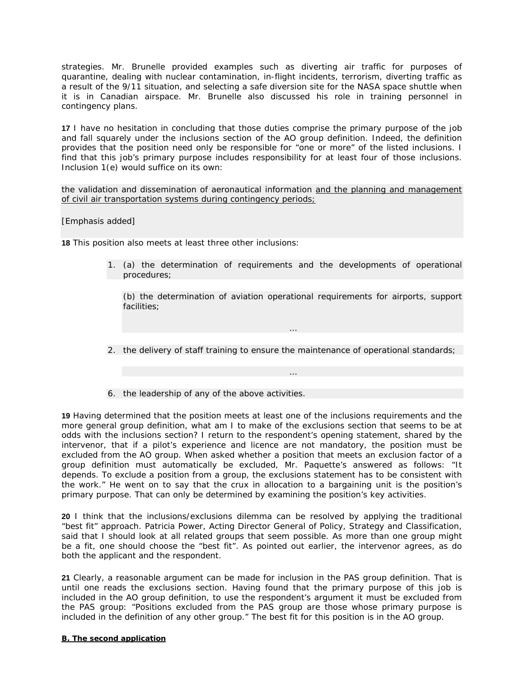strategies. Mr. Brunelle provided examples such as diverting air traffic for purposes of quarantine, dealing with nuclear contamination, in-flight incidents, terrorism, diverting traffic as a result of the 9/11 situation, and selecting a safe diversion site for the NASA space shuttle when it is in Canadian airspace. Mr. Brunelle also discussed his role in training personnel in contingency plans.

**17** I have no hesitation in concluding that those duties comprise the primary purpose of the job and fall squarely under the inclusions section of the AO group definition. Indeed, the definition provides that the position need only be responsible for "one or more" of the listed inclusions. I find that this job's primary purpose includes responsibility for at least four of those inclusions. Inclusion 1(*e*) would suffice on its own:

*the validation and dissemination of aeronautical information and the planning and management of civil air transportation systems during contingency periods;*

[Emphasis added]

**18** This position also meets at least three other inclusions:

*1.* (a) the determination of requirements and the developments of operational *procedures;* 

*(b) the determination of aviation operational requirements for airports, support facilities;* 

*…* 

*…* 

- *2. the delivery of staff training to ensure the maintenance of operational standards;*
- *6. the leadership of any of the above activities.*

**19** Having determined that the position meets at least one of the inclusions requirements and the more general group definition, what am I to make of the exclusions section that seems to be at odds with the inclusions section? I return to the respondent's opening statement, shared by the intervenor, that if a pilot's experience and licence are not mandatory, the position must be excluded from the AO group. When asked whether a position that meets an exclusion factor of a group definition must automatically be excluded, Mr. Paquette's answered as follows: "It depends. To exclude a position from a group, the exclusions statement has to be consistent with the work." He went on to say that the crux in allocation to a bargaining unit is the position's primary purpose. That can only be determined by examining the position's key activities.

**20** I think that the inclusions/exclusions dilemma can be resolved by applying the traditional "best fit" approach. Patricia Power, Acting Director General of Policy, Strategy and Classification, said that I should look at all related groups that seem possible. As more than one group might be a fit, one should choose the "best fit". As pointed out earlier, the intervenor agrees, as do both the applicant and the respondent.

**21** Clearly, a reasonable argument can be made for inclusion in the PAS group definition. That is until one reads the exclusions section. Having found that the primary purpose of this job is included in the AO group definition, to use the respondent's argument it must be excluded from the PAS group: "Positions excluded from the PAS group are those whose primary purpose is included in the definition of any other group." The best fit for this position is in the AO group.

#### **B. The second application**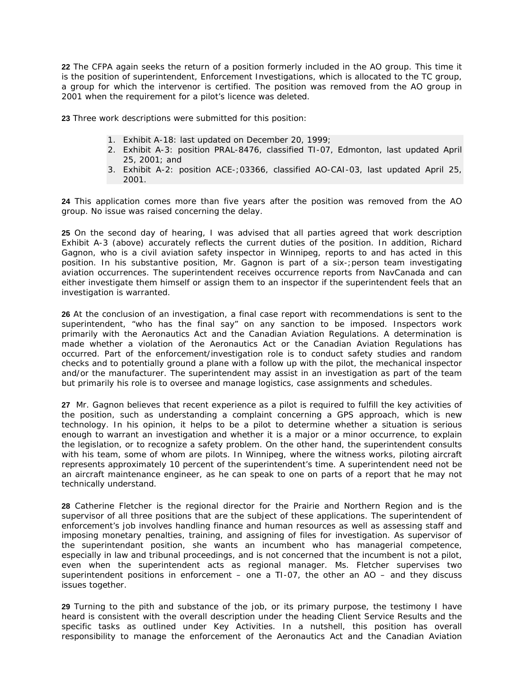**22** The CFPA again seeks the return of a position formerly included in the AO group. This time it is the position of superintendent, Enforcement Investigations, which is allocated to the TC group, a group for which the intervenor is certified. The position was removed from the AO group in 2001 when the requirement for a pilot's licence was deleted.

**23** Three work descriptions were submitted for this position:

- 1. Exhibit A-18: last updated on December 20, 1999;
- 2. Exhibit A-3: position PRAL-8476, classified TI-07, Edmonton, last updated April 25, 2001; and
- 3. Exhibit A-2: position ACE-;03366, classified AO-CAI-03, last updated April 25, 2001.

**24** This application comes more than five years after the position was removed from the AO group. No issue was raised concerning the delay.

**25** On the second day of hearing, I was advised that all parties agreed that work description Exhibit A-3 (above) accurately reflects the current duties of the position. In addition, Richard Gagnon, who is a civil aviation safety inspector in Winnipeg, reports to and has acted in this position. In his substantive position, Mr. Gagnon is part of a six-; person team investigating aviation occurrences. The superintendent receives occurrence reports from NavCanada and can either investigate them himself or assign them to an inspector if the superintendent feels that an investigation is warranted.

**26** At the conclusion of an investigation, a final case report with recommendations is sent to the superintendent, "who has the final say" on any sanction to be imposed. Inspectors work primarily with the *Aeronautics Act* and the *Canadian Aviation Regulations*. A determination is made whether a violation of the *Aeronautics Act* or the *Canadian Aviation Regulations* has occurred. Part of the enforcement/investigation role is to conduct safety studies and random checks and to potentially ground a plane with a follow up with the pilot, the mechanical inspector and/or the manufacturer. The superintendent may assist in an investigation as part of the team but primarily his role is to oversee and manage logistics, case assignments and schedules.

**27** Mr. Gagnon believes that recent experience as a pilot is required to fulfill the key activities of the position, such as understanding a complaint concerning a GPS approach, which is new technology. In his opinion, it helps to be a pilot to determine whether a situation is serious enough to warrant an investigation and whether it is a major or a minor occurrence, to explain the legislation, or to recognize a safety problem. On the other hand, the superintendent consults with his team, some of whom are pilots. In Winnipeg, where the witness works, piloting aircraft represents approximately 10 percent of the superintendent's time. A superintendent need not be an aircraft maintenance engineer, as he can speak to one on parts of a report that he may not technically understand.

**28** Catherine Fletcher is the regional director for the Prairie and Northern Region and is the supervisor of all three positions that are the subject of these applications. The superintendent of enforcement's job involves handling finance and human resources as well as assessing staff and imposing monetary penalties, training, and assigning of files for investigation. As supervisor of the superintendant position, she wants an incumbent who has managerial competence, especially in law and tribunal proceedings, and is not concerned that the incumbent is not a pilot, even when the superintendent acts as regional manager. Ms. Fletcher supervises two superintendent positions in enforcement – one a TI-07, the other an AO – and they discuss issues together.

**29** Turning to the pith and substance of the job, or its primary purpose, the testimony I have heard is consistent with the overall description under the heading Client Service Results and the specific tasks as outlined under Key Activities. In a nutshell, this position has overall responsibility to manage the enforcement of the *Aeronautics Act* and the *Canadian Aviation*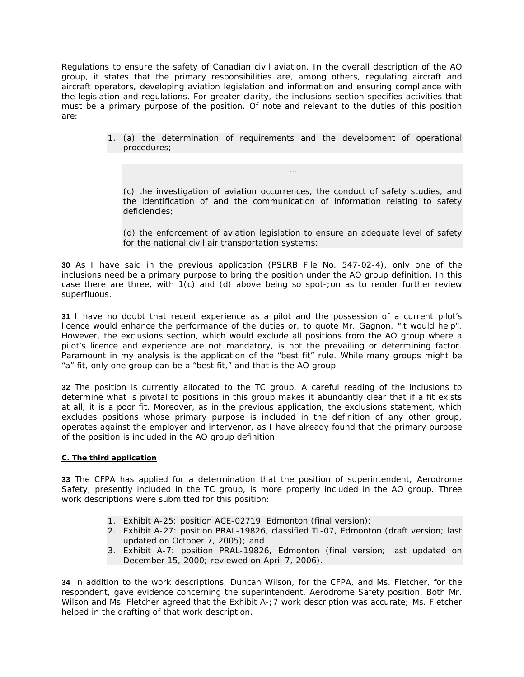*Regulations* to ensure the safety of Canadian civil aviation. In the overall description of the AO group, it states that the primary responsibilities are, among others, regulating aircraft and aircraft operators, developing aviation legislation and information and ensuring compliance with the legislation and regulations. For greater clarity, the inclusions section specifies activities that must be a primary purpose of the position. Of note and relevant to the duties of this position are:

> *1.* (a) the determination of requirements and the development of operational *procedures;*

*(c) the investigation of aviation occurrences, the conduct of safety studies, and the identification of and the communication of information relating to safety deficiencies;* 

*…* 

*(d) the enforcement of aviation legislation to ensure an adequate level of safety for the national civil air transportation systems;* 

**30** As I have said in the previous application (PSLRB File No. 547-02-4), only one of the inclusions need be a primary purpose to bring the position under the AO group definition. In this case there are three, with 1(*c*) and (*d*) above being so spot-;on as to render further review superfluous.

**31** I have no doubt that recent experience as a pilot and the possession of a current pilot's licence would enhance the performance of the duties or, to quote Mr. Gagnon, "it would help". However, the exclusions section, which would exclude all positions from the AO group where a pilot's licence and experience are not mandatory, is not the prevailing or determining factor. Paramount in my analysis is the application of the "best fit" rule. While many groups might be "a" fit, only one group can be a "best fit," and that is the AO group.

**32** The position is currently allocated to the TC group. A careful reading of the inclusions to determine what is pivotal to positions in this group makes it abundantly clear that if a fit exists at all, it is a poor fit. Moreover, as in the previous application, the exclusions statement, which excludes positions whose primary purpose is included in the definition of any other group, operates against the employer and intervenor, as I have already found that the primary purpose of the position is included in the AO group definition.

#### **C. The third application**

**33** The CFPA has applied for a determination that the position of superintendent, Aerodrome Safety, presently included in the TC group, is more properly included in the AO group. Three work descriptions were submitted for this position:

- 1. Exhibit A-25: position ACE-02719, Edmonton (final version);
- 2. Exhibit A-27: position PRAL-19826, classified TI-07, Edmonton (draft version; last updated on October 7, 2005); and
- 3. Exhibit A-7: position PRAL-19826, Edmonton (final version; last updated on December 15, 2000; reviewed on April 7, 2006).

**34** In addition to the work descriptions, Duncan Wilson, for the CFPA, and Ms. Fletcher, for the respondent, gave evidence concerning the superintendent, Aerodrome Safety position. Both Mr. Wilson and Ms. Fletcher agreed that the Exhibit A-; 7 work description was accurate; Ms. Fletcher helped in the drafting of that work description.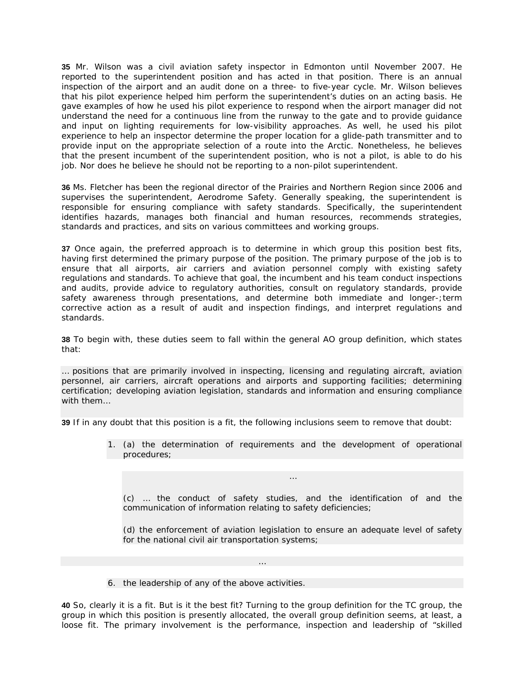**35** Mr. Wilson was a civil aviation safety inspector in Edmonton until November 2007. He reported to the superintendent position and has acted in that position. There is an annual inspection of the airport and an audit done on a three- to five-year cycle. Mr. Wilson believes that his pilot experience helped him perform the superintendent's duties on an acting basis. He gave examples of how he used his pilot experience to respond when the airport manager did not understand the need for a continuous line from the runway to the gate and to provide guidance and input on lighting requirements for low-visibility approaches. As well, he used his pilot experience to help an inspector determine the proper location for a glide-path transmitter and to provide input on the appropriate selection of a route into the Arctic. Nonetheless, he believes that the present incumbent of the superintendent position, who is not a pilot, is able to do his job. Nor does he believe he should not be reporting to a non-pilot superintendent.

**36** Ms. Fletcher has been the regional director of the Prairies and Northern Region since 2006 and supervises the superintendent, Aerodrome Safety. Generally speaking, the superintendent is responsible for ensuring compliance with safety standards. Specifically, the superintendent identifies hazards, manages both financial and human resources, recommends strategies, standards and practices, and sits on various committees and working groups.

**37** Once again, the preferred approach is to determine in which group this position best fits, having first determined the primary purpose of the position. The primary purpose of the job is to ensure that all airports, air carriers and aviation personnel comply with existing safety regulations and standards. To achieve that goal, the incumbent and his team conduct inspections and audits, provide advice to regulatory authorities, consult on regulatory standards, provide safety awareness through presentations, and determine both immediate and longer-;term corrective action as a result of audit and inspection findings, and interpret regulations and standards.

**38** To begin with, these duties seem to fall within the general AO group definition, which states that:

*… positions that are primarily involved in inspecting, licensing and regulating aircraft, aviation personnel, air carriers, aircraft operations and airports and supporting facilities; determining certification; developing aviation legislation, standards and information and ensuring compliance with them…* 

**39** If in any doubt that this position is a fit, the following inclusions seem to remove that doubt:

*1. (a) the determination of requirements and the development of operational procedures;* 

*(c) … the conduct of safety studies, and the identification of and the communication of information relating to safety deficiencies;* 

*…* 

*(d) the enforcement of aviation legislation to ensure an adequate level of safety for the national civil air transportation systems;* 

*6. the leadership of any of the above activities.* 

**40** So, clearly it is a fit. But is it the best fit? Turning to the group definition for the TC group, the group in which this position is presently allocated, the overall group definition seems, at least, a loose fit. The primary involvement is the performance, inspection and leadership of "skilled

*…*